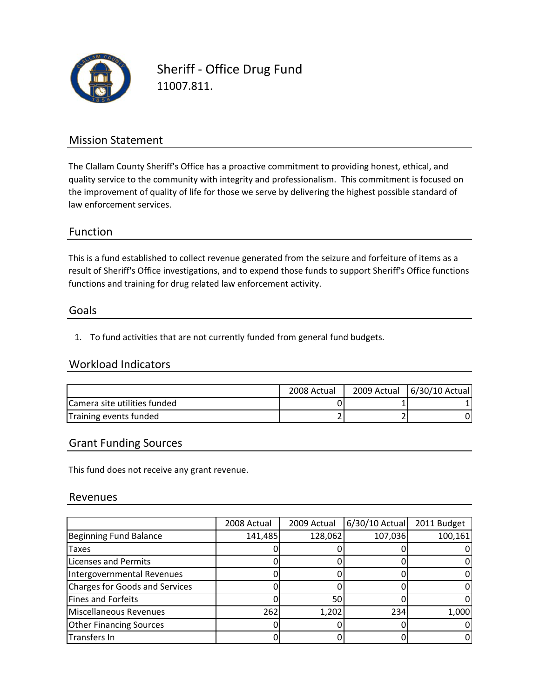

Sheriff ‐ Office Drug Fund 11007.811.

### Mission Statement

The Clallam County Sheriff's Office has a proactive commitment to providing honest, ethical, and quality service to the community with integrity and professionalism. This commitment is focused on the improvement of quality of life for those we serve by delivering the highest possible standard of law enforcement services.

#### Function

This is a fund established to collect revenue generated from the seizure and forfeiture of items as a functions and training for drug related law enforcement activity. result of Sheriff's Office investigations, and to expend those funds to support Sheriff's Office functions

#### Goals

1. To fund activities that are not currently funded from general fund budgets.

#### Workload Indicators

|                                      | 2008 Actual | 2009 Actual | 6/30/10 Actual |
|--------------------------------------|-------------|-------------|----------------|
| <b>ICamera site utilities funded</b> |             |             |                |
| Training events funded               |             |             |                |

#### Grant Funding Sources

This fund does not receive any grant revenue.

#### Revenues

|                                | 2008 Actual | 2009 Actual | $6/30/10$ Actual | 2011 Budget |
|--------------------------------|-------------|-------------|------------------|-------------|
| Beginning Fund Balance         | 141,485     | 128,062     | 107,036          | 100,161     |
| Taxes                          |             |             |                  |             |
| <b>Licenses and Permits</b>    |             |             |                  |             |
| Intergovernmental Revenues     |             |             |                  |             |
| Charges for Goods and Services |             |             |                  |             |
| Fines and Forfeits             |             | 50          |                  |             |
| Miscellaneous Revenues         | 262         | 1,202       | 234              | 1,000       |
| <b>Other Financing Sources</b> |             |             |                  |             |
| Transfers In                   |             |             |                  |             |